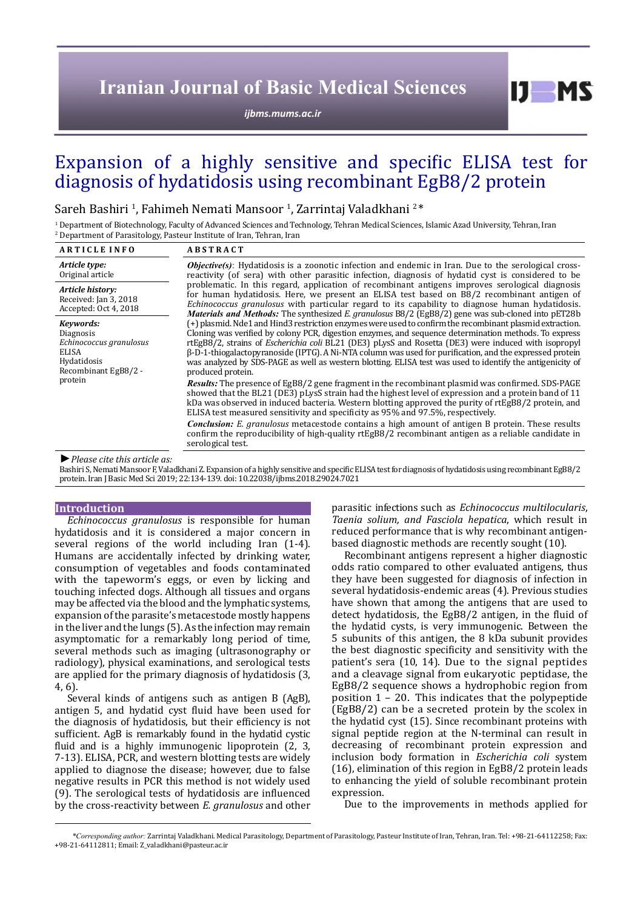# **Iranian Journal of Basic Medical Sciences**

*[ijbms.mums.ac.ir](http://ijbms.mums.ac.ir)*

# Expansion of a highly sensitive and specific ELISA test for diagnosis of hydatidosis using recombinant EgB8/2 protein

Sareh Bashiri <sup>1</sup>, Fahimeh Nemati Mansoor <sup>1</sup>, Zarrintaj Valadkhani <sup>2</sup>\*

1 Department of Biotechnology, Faculty of Advanced Sciences and Technology, Tehran Medical Sciences, Islamic Azad University, Tehran, Iran 2 Department of Parasitology, Pasteur Institute of Iran, Tehran, Iran

| <b>ARTICLE INFO</b>                                                                                                                                                                                                                                                                                                                                                                                                                                                                        | <b>ABSTRACT</b>                                                                                                                                                                                                                                                                                                                                                                                                                                                                                                                                                                       |  |  |  |
|--------------------------------------------------------------------------------------------------------------------------------------------------------------------------------------------------------------------------------------------------------------------------------------------------------------------------------------------------------------------------------------------------------------------------------------------------------------------------------------------|---------------------------------------------------------------------------------------------------------------------------------------------------------------------------------------------------------------------------------------------------------------------------------------------------------------------------------------------------------------------------------------------------------------------------------------------------------------------------------------------------------------------------------------------------------------------------------------|--|--|--|
| Article type:<br>Original article                                                                                                                                                                                                                                                                                                                                                                                                                                                          | <b><i>Objective(s)</i></b> : Hydatidosis is a zoonotic infection and endemic in Iran. Due to the serological cross-<br>reactivity (of sera) with other parasitic infection, diagnosis of hydatid cyst is considered to be                                                                                                                                                                                                                                                                                                                                                             |  |  |  |
| Article history:<br>Received: Jan 3, 2018<br>Accepted: Oct 4, 2018                                                                                                                                                                                                                                                                                                                                                                                                                         | problematic. In this regard, application of recombinant antigens improves serological diagnosis<br>for human hydatidosis. Here, we present an ELISA test based on B8/2 recombinant antigen of<br><i>Echinococcus granulosus</i> with particular regard to its capability to diagnose human hydatidosis.<br>Materials and Methods: The synthesized E. granulosus B8/2 (EgB8/2) gene was sub-cloned into pET28b                                                                                                                                                                         |  |  |  |
| Kevwords:<br><b>Diagnosis</b><br>Echinococcus granulosus<br>ELISA<br>Hydatidosis<br>Recombinant EgB8/2 -<br>protein                                                                                                                                                                                                                                                                                                                                                                        | (+) plasmid. Nde1 and Hind3 restriction enzymes were used to confirm the recombinant plasmid extraction.<br>Cloning was verified by colony PCR, digestion enzymes, and sequence determination methods. To express<br>rtEgB8/2, strains of <i>Escherichia coli</i> BL21 (DE3) pLysS and Rosetta (DE3) were induced with isopropyl<br>$\beta$ -D-1-thiogalactopyranoside (IPTG). A Ni-NTA column was used for purification, and the expressed protein<br>was analyzed by SDS-PAGE as well as western blotting. ELISA test was used to identify the antigenicity of<br>produced protein. |  |  |  |
|                                                                                                                                                                                                                                                                                                                                                                                                                                                                                            | <i>Results:</i> The presence of EgB8/2 gene fragment in the recombinant plasmid was confirmed. SDS-PAGE<br>showed that the BL21 (DE3) pLysS strain had the highest level of expression and a protein band of 11<br>kDa was observed in induced bacteria. Western blotting approved the purity of rtEgB8/2 protein, and<br>ELISA test measured sensitivity and specificity as 95% and 97.5%, respectively.                                                                                                                                                                             |  |  |  |
|                                                                                                                                                                                                                                                                                                                                                                                                                                                                                            | <i>Conclusion: E. granulosus</i> metacestode contains a high amount of antigen B protein. These results<br>confirm the reproducibility of high-quality rtEgB8/2 recombinant antigen as a reliable candidate in<br>serological test.                                                                                                                                                                                                                                                                                                                                                   |  |  |  |
| $\blacksquare$ $\blacksquare$ $\blacksquare$ $\blacksquare$ $\blacksquare$ $\blacksquare$ $\blacksquare$ $\blacksquare$ $\blacksquare$ $\blacksquare$ $\blacksquare$ $\blacksquare$ $\blacksquare$ $\blacksquare$ $\blacksquare$ $\blacksquare$ $\blacksquare$ $\blacksquare$ $\blacksquare$ $\blacksquare$ $\blacksquare$ $\blacksquare$ $\blacksquare$ $\blacksquare$ $\blacksquare$ $\blacksquare$ $\blacksquare$ $\blacksquare$ $\blacksquare$ $\blacksquare$ $\blacksquare$ $\blacks$ |                                                                                                                                                                                                                                                                                                                                                                                                                                                                                                                                                                                       |  |  |  |

*►Please cite this article as:*

Bashiri S, Nemati Mansoor F, Valadkhani Z. Expansion of a highly sensitive and specific ELISA test for diagnosis of hydatidosis using recombinant EgB8/2 protein. Iran J Basic Med Sci 2019; 22:134-139. doi: 10.22038/ijbms.2018.29024.7021

#### **Introduction**

*Echinococcus granulosus* is responsible for human hydatidosis and it is considered a major concern in several regions of the world including Iran (1-4). Humans are accidentally infected by drinking water, consumption of vegetables and foods contaminated with the tapeworm's eggs, or even by licking and touching infected dogs. Although all tissues and organs may be affected via the blood and the lymphatic systems, expansion of the parasite's metacestode mostly happens in the liver and the lungs (5). As the infection may remain asymptomatic for a remarkably long period of time, several methods such as imaging (ultrasonography or radiology), physical examinations, and serological tests are applied for the primary diagnosis of hydatidosis (3, 4, 6).

Several kinds of antigens such as antigen B (AgB), antigen 5, and hydatid cyst fluid have been used for the diagnosis of hydatidosis, but their efficiency is not sufficient. AgB is remarkably found in the hydatid cystic fluid and is a highly immunogenic lipoprotein  $(2, 3, 3)$ 7-13). ELISA, PCR, and western blotting tests are widely applied to diagnose the disease; however, due to false negative results in PCR this method is not widely used (9). The serological tests of hydatidosis are influenced by the cross-reactivity between *E. granulosus* and other

parasitic infections such as *Echinococcus multilocularis*, *Taenia solium, and Fasciola hepatica*, which result in reduced performance that is why recombinant antigenbased diagnostic methods are recently sought (10).

 $I$   $I$   $M$   $S$ 

Recombinant antigens represent a higher diagnostic odds ratio compared to other evaluated antigens, thus they have been suggested for diagnosis of infection in several hydatidosis-endemic areas (4). Previous studies have shown that among the antigens that are used to detect hydatidosis, the EgB8/2 antigen, in the fluid of the hydatid cysts, is very immunogenic. Between the 5 subunits of this antigen, the 8 kDa subunit provides the best diagnostic specificity and sensitivity with the patient's sera (10, 14). Due to the signal peptides and a cleavage signal from eukaryotic peptidase, the EgB8/2 sequence shows a hydrophobic region from position 1 – 20. This indicates that the polypeptide (EgB8/2) can be a secreted protein by the scolex in the hydatid cyst (15). Since recombinant proteins with signal peptide region at the N-terminal can result in decreasing of recombinant protein expression and inclusion body formation in *Escherichia coli* system (16), elimination of this region in EgB8/2 protein leads to enhancing the yield of soluble recombinant protein expression.

Due to the improvements in methods applied for

*\*Corresponding author:* Zarrintaj Valadkhani. Medical Parasitology, Department of Parasitology, Pasteur Institute of Iran, Tehran, Iran. Tel: +98-21-64112258; Fax: +98-21-64112811; Email: Z\_valadkhani@pasteur.ac.ir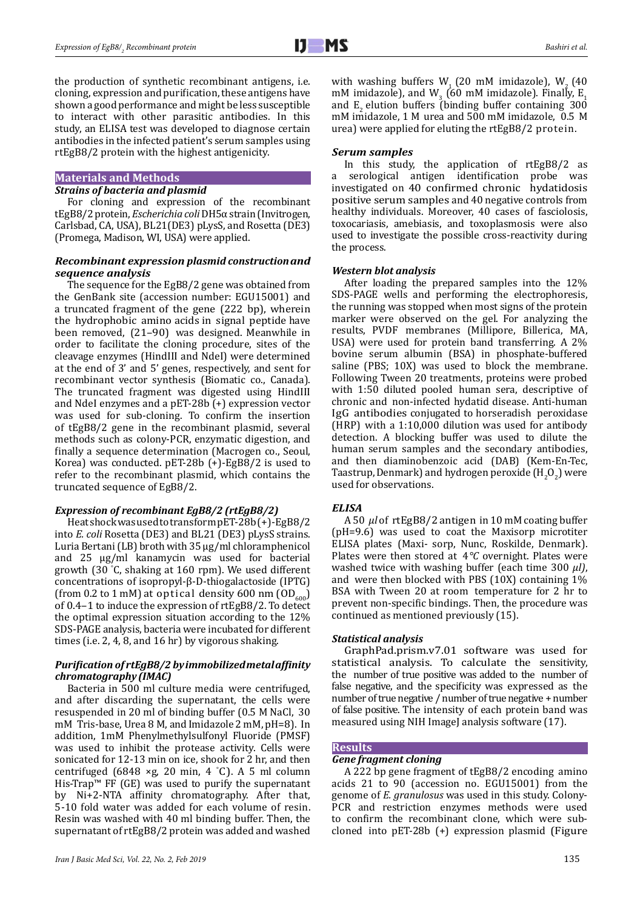the production of synthetic recombinant antigens, i.e. cloning, expression and purification, these antigens have shown a good performance and might be less susceptible to interact with other parasitic antibodies. In this study, an ELISA test was developed to diagnose certain antibodies in the infected patient's serum samples using rtEgB8/2 protein with the highest antigenicity.

#### **Materials and Methods**

## *Strains of bacteria and plasmid*

For cloning and expression of the recombinant tEgB8/2 protein, *Escherichia coli* DH5α strain (Invitrogen, Carlsbad, CA, USA), BL21(DE3) pLysS, and Rosetta (DE3) (Promega, Madison, WI, USA) were applied.

## *Recombinant expression plasmid construction and sequence analysis*

The sequence for the EgB8/2 gene was obtained from the GenBank site (accession number: EGU15001) and a truncated fragment of the gene (222 bp), wherein the hydrophobic amino acids in signal peptide have been removed, (21–90) was designed. Meanwhile in order to facilitate the cloning procedure, sites of the cleavage enzymes (HindIII and NdeI) were determined at the end of 3' and 5' genes, respectively, and sent for recombinant vector synthesis (Biomatic co., Canada). The truncated fragment was digested using HindIII and NdeI enzymes and a pET-28b (+) expression vector was used for sub-cloning. To confirm the insertion of tEgB8/2 gene in the recombinant plasmid, several methods such as colony-PCR, enzymatic digestion, and finally a sequence determination (Macrogen co., Seoul, Korea) was conducted. pET-28b (+)-EgB8/2 is used to refer to the recombinant plasmid, which contains the truncated sequence of EgB8/2.

# *Expression of recombinant EgB8/2 (rtEgB8/2)*

Heat shock was used to transform pET-28b (+)-EgB8/2 into *E. coli* Rosetta (DE3) and BL21 (DE3) pLysS strains. Luria Bertani (LB) broth with 35 μg/ml chloramphenicol and 25 μg/ml kanamycin was used for bacterial growth (30 ° C, shaking at 160 rpm). We used different concentrations of isopropyl-β-D-thiogalactoside (IPTG) (from 0.2 to 1 mM) at optical density 600 nm  $OD_{600}$ ) of 0.4–1 to induce the expression of rtEgB8/2. To detect the optimal expression situation according to the 12% SDS-PAGE analysis, bacteria were incubated for different times (i.e. 2, 4, 8, and 16 hr) by vigorous shaking.

# *Purification of rtEgB8/2 by immobilized metal affinity chromatography (IMAC)*

Bacteria in 500 ml culture media were centrifuged, and after discarding the supernatant, the cells were resuspended in 20 ml of binding buffer (0.5 M NaCl, 30 mM Tris-base, Urea 8 M, and Imidazole 2 mM, pH=8). In addition, 1mM Phenylmethylsulfonyl Fluoride (PMSF) was used to inhibit the protease activity. Cells were sonicated for 12-13 min on ice, shook for 2 hr, and then centrifuged  $(6848 \times g, 20 \text{ min}, 4 \textdegree C)$ . A 5 ml column His-Trap™ FF (GE) was used to purify the supernatant by Ni+2-NTA affinity chromatography. After that, 5-10 fold water was added for each volume of resin. Resin was washed with 40 ml binding buffer. Then, the supernatant of rtEgB8/2 protein was added and washed

with washing buffers  $W<sub>1</sub>$  (20 mM imidazole),  $W<sub>2</sub>$  (40 mM imidazole), and  $W_3$  (60 mM imidazole). Finally,  $E_1$ and  $E<sub>2</sub>$  elution buffers (binding buffer containing 300 mM imidazole, 1 M urea and 500 mM imidazole, 0.5 M urea) were applied for eluting the rtEgB8/2 protein.

### *Serum samples*

In this study, the application of rtEgB8/2 as a serological antigen identification probe was investigated on 40 confirmed chronic hydatidosis positive serum samples and 40 negative controls from healthy individuals. Moreover, 40 cases of fasciolosis, toxocariasis, amebiasis, and toxoplasmosis were also used to investigate the possible cross-reactivity during the process.

### *Western blot analysis*

After loading the prepared samples into the 12% SDS-PAGE wells and performing the electrophoresis, the running was stopped when most signs of the protein marker were observed on the gel. For analyzing the results, PVDF membranes (Millipore, Billerica, MA, USA) were used for protein band transferring. A 2% bovine serum albumin (BSA) in phosphate-buffered saline (PBS; 10X) was used to block the membrane. Following Tween 20 treatments, proteins were probed with 1:50 diluted pooled human sera, descriptive of chronic and non-infected hydatid disease. Anti-human IgG antibodies conjugated to horseradish peroxidase (HRP) with a 1:10,000 dilution was used for antibody detection. A blocking buffer was used to dilute the human serum samples and the secondary antibodies, and then diaminobenzoic acid (DAB) (Kem-En-Tec, Taastrup, Denmark) and hydrogen peroxide  $(H_2O_2)$  were used for observations.

# *ELISA*

A 50 *µl* of rtEgB8/2 antigen in 10 mM coating buffer (pH=9.6) was used to coat the Maxisorp microtiter ELISA plates (Maxi- sorp, Nunc, Roskilde, Denmark). Plates were then stored at 4*°C* overnight. Plates were washed twice with washing buffer (each time 300 *µl)*, and were then blocked with PBS (10X) containing 1% BSA with Tween 20 at room temperature for 2 hr to prevent non-specific bindings. Then, the procedure was continued as mentioned previously (15).

# *Statistical analysis*

GraphPad.prism.v7.01 software was used for statistical analysis. To calculate the sensitivity, the number of true positive was added to the number of false negative, and the specificity was expressed as the number of true negative / number of true negative + number of false positive. The intensity of each protein band was measured using NIH ImageJ analysis software (17).

# **Results**

# *Gene fragment cloning*

A 222 bp gene fragment of tEgB8/2 encoding amino acids 21 to 90 (accession no. EGU15001) from the genome of *E. granulosus* was used in this study. Colony-PCR and restriction enzymes methods were used to confirm the recombinant clone, which were subcloned into pET-28b (+) expression plasmid (Figure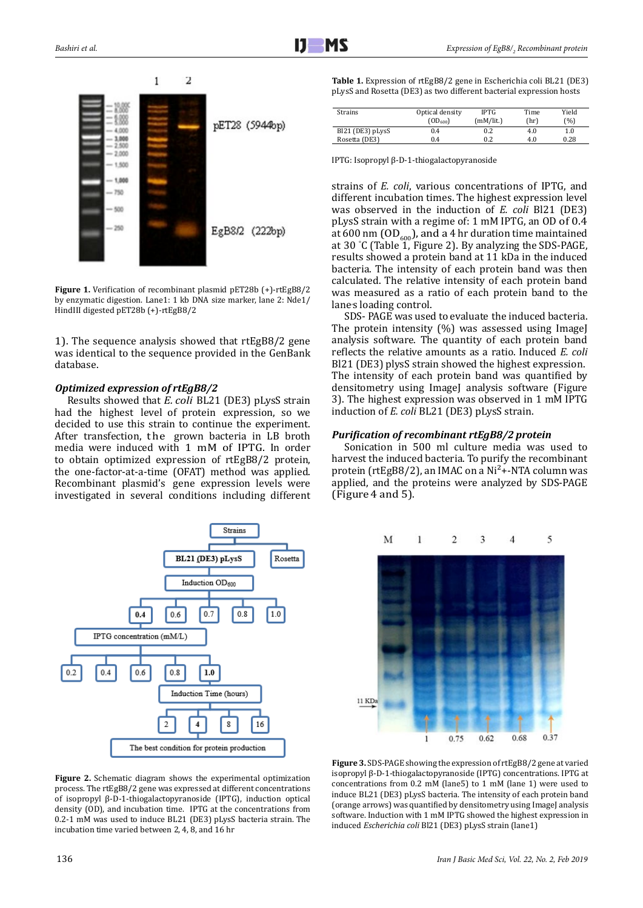

**Figure 1.** Verification of recombinant plasmid pET28b (+)-rtEgB8/2 by enzymatic digestion. Lane1: 1 kb DNA size marker, lane 2: Nde1/ HindIII digested pET28b (+)-rtEgB8/2

1). The sequence analysis showed that rtEgB8/2 gene was identical to the sequence provided in the GenBank database.

## *Optimized expression of rtEgB8/2*

Results showed that *E. coli* BL21 (DE3) pLysS strain had the highest level of protein expression, so we decided to use this strain to continue the experiment. After transfection, the grown bacteria in LB broth media were induced with 1 mM of IPTG. In order to obtain optimized expression of rtEgB8/2 protein, the one-factor-at-a-time (OFAT) method was applied. Recombinant plasmid's gene expression levels were investigated in several conditions including different



**Figure 2.** Schematic diagram shows the experimental optimization process. The rtEgB8/2 gene was expressed at different concentrations of isopropyl β-D-1-thiogalactopyranoside (IPTG), induction optical density (OD), and incubation time. IPTG at the concentrations from 0.2-1 mM was used to induce BL21 (DE3) pLysS bacteria strain. The incubation time varied between 2, 4, 8, and 16 hr

**Table 1.** Expression of rtEgB8/2 gene in Escherichia coli BL21 (DE3) pLysS and Rosetta (DE3) as two different bacterial expression hosts

| Strains          | Optical density<br>$(OD_{600})$ | <b>IPTG</b><br>(mM/lit.) | Time<br>(hr) | Yield<br>(%) |
|------------------|---------------------------------|--------------------------|--------------|--------------|
| Bl21 (DE3) pLysS | 0.4                             | 0.2                      | 4.0          | 1.0          |
| Rosetta (DE3)    | 0.4                             | 0.2                      | 4.0          | 0.28         |

IPTG: Isopropyl β-D-1-thiogalactopyranoside

strains of *E. coli*, various concentrations of IPTG, and different incubation times. The highest expression level was observed in the induction of *E. coli* Bl21 (DE3) pLysS strain with a regime of: 1 mM IPTG, an OD of 0.4 at 600 nm (OD<sub>600</sub>), and a 4 hr duration time maintained<br> $\sim 20\%$   $\approx 20$ at 30 ° C (Table 1, Figure 2). By analyzing the SDS-PAGE, results showed a protein band at 11 kDa in the induced bacteria. The intensity of each protein band was then calculated. The relative intensity of each protein band was measured as a ratio of each protein band to the lane's loading control.

SDS- PAGE was used to evaluate the induced bacteria. The protein intensity (%) was assessed using ImageJ analysis software. The quantity of each protein band reflects the relative amounts as a ratio. Induced *E. coli* Bl21 (DE3) plysS strain showed the highest expression. The intensity of each protein band was quantified by densitometry using ImageJ analysis software (Figure 3). The highest expression was observed in 1 mM IPTG induction of *E. coli* BL21 (DE3) pLysS strain.

#### *Purification of recombinant rtEgB8/2 protein*

Sonication in 500 ml culture media was used to harvest the induced bacteria. To purify the recombinant protein (rtEgB8/2), an IMAC on a Ni<sup>2</sup>+-NTA column was applied, and the proteins were analyzed by SDS-PAGE (Figure 4 and 5).



**Figure 3.** SDS-PAGE showing the expression of rtEgB8/2 gene at varied isopropyl β-D-1-thiogalactopyranoside (IPTG) concentrations. IPTG at concentrations from 0.2 mM (lane5) to 1 mM (lane 1) were used to induce BL21 (DE3) pLysS bacteria. The intensity of each protein band (orange arrows) was quantified by densitometry using ImageJ analysis software. Induction with 1 mM IPTG showed the highest expression in induced *Escherichia coli* Bl21 (DE3) pLysS strain (lane1)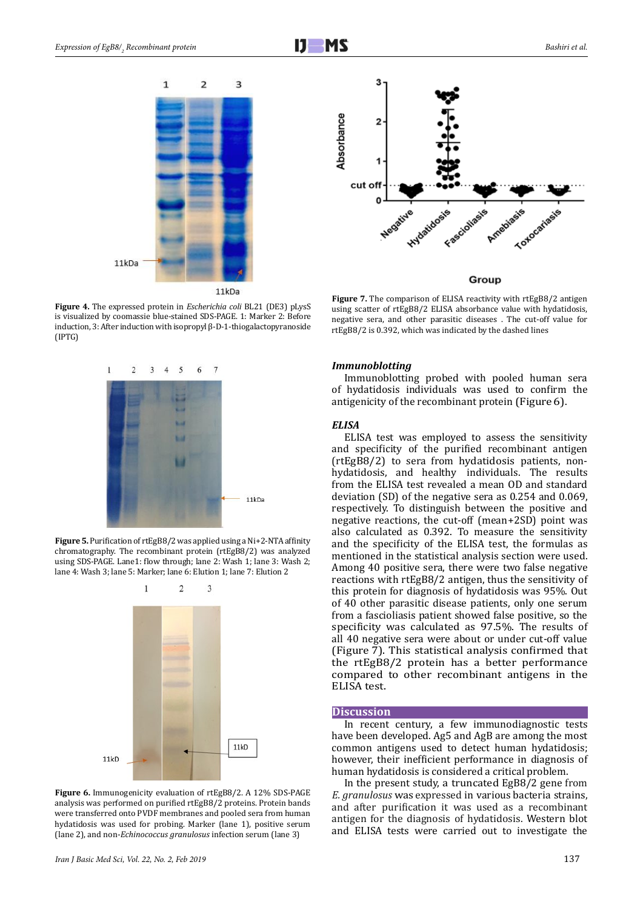

**Figure 4.** The expressed protein in *Escherichia coli* BL21 (DE3) pLysS is visualized by coomassie blue-stained SDS-PAGE. 1: Marker 2: Before induction, 3: After induction with isopropyl β-D-1-thiogalactopyranoside (IPTG)



**Figure 5.** Purification of rtEgB8/2 was applied using a Ni+2-NTA affinity chromatography. The recombinant protein (rtEgB8/2) was analyzed using SDS-PAGE. Lane1: flow through; lane 2: Wash 1; lane 3: Wash 2; lane 4: Wash 3; lane 5: Marker; lane 6: Elution 1; lane 7: Elution 2



**Figure 6.** Immunogenicity evaluation of rtEgB8/2. A 12% SDS-PAGE analysis was performed on purified rtEgB8/2 proteins. Protein bands were transferred onto PVDF membranes and pooled sera from human hydatidosis was used for probing. Marker (lane 1), positive serum (lane 2), and non-*Echinococcus granulosus* infection serum (lane 3)



Group

**Figure 7.** The comparison of ELISA reactivity with rtEgB8/2 antigen using scatter of rtEgB8/2 ELISA absorbance value with hydatidosis, negative sera, and other parasitic diseases . The cut-off value for rtEgB8/2 is 0.392, which was indicated by the dashed lines

#### *Immunoblotting*

Immunoblotting probed with pooled human sera of hydatidosis individuals was used to confirm the antigenicity of the recombinant protein (Figure 6).

## *ELISA*

ELISA test was employed to assess the sensitivity and specificity of the purified recombinant antigen (rtEgB8/2) to sera from hydatidosis patients, nonhydatidosis, and healthy individuals. The results from the ELISA test revealed a mean OD and standard deviation (SD) of the negative sera as 0.254 and 0.069, respectively. To distinguish between the positive and negative reactions, the cut-off (mean+2SD) point was also calculated as 0.392. To measure the sensitivity and the specificity of the ELISA test, the formulas as mentioned in the statistical analysis section were used. Among 40 positive sera, there were two false negative reactions with rtEgB8/2 antigen, thus the sensitivity of this protein for diagnosis of hydatidosis was 95%. Out of 40 other parasitic disease patients, only one serum from a fascioliasis patient showed false positive, so the specificity was calculated as 97.5%. The results of all 40 negative sera were about or under cut-off value (Figure 7). This statistical analysis confirmed that the rtEgB8/2 protein has a better performance compared to other recombinant antigens in the ELISA test.

#### **Discussion**

In recent century, a few immunodiagnostic tests have been developed. Ag5 and AgB are among the most common antigens used to detect human hydatidosis; however, their inefficient performance in diagnosis of human hydatidosis is considered a critical problem.

In the present study, a truncated EgB8/2 gene from *E. granulosus* was expressed in various bacteria strains, and after purification it was used as a recombinant antigen for the diagnosis of hydatidosis. Western blot and ELISA tests were carried out to investigate the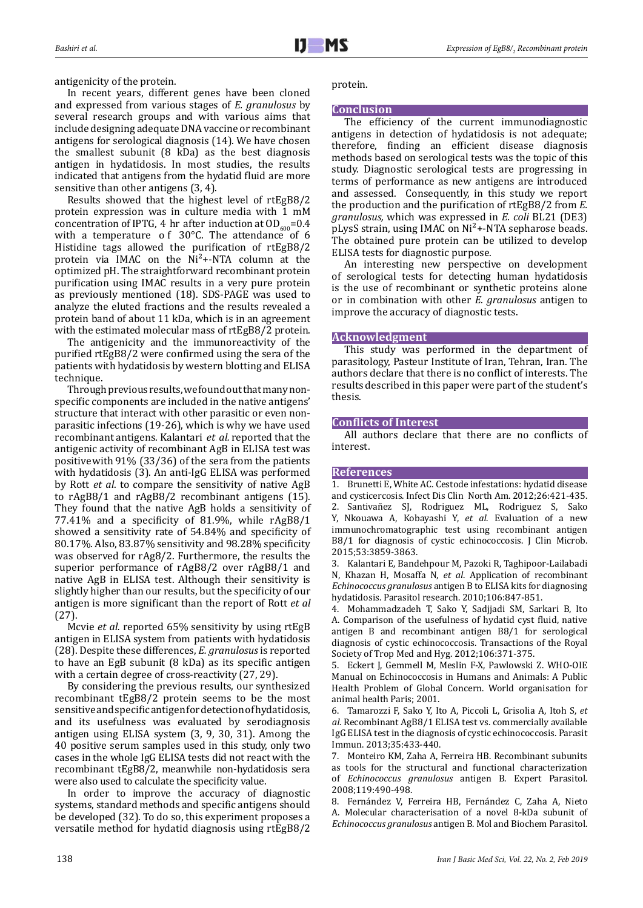antigenicity of the protein.

In recent years, different genes have been cloned and expressed from various stages of *E. granulosus* by several research groups and with various aims that include designing adequate DNA vaccine or recombinant antigens for serological diagnosis (14). We have chosen the smallest subunit (8 kDa) as the best diagnosis antigen in hydatidosis. In most studies, the results indicated that antigens from the hydatid fluid are more sensitive than other antigens (3, 4).

Results showed that the highest level of rtEgB8/2 protein expression was in culture media with 1 mM concentration of IPTG, 4 hr after induction at  $OD_{600} = 0.4$ with a temperature of 30°C. The attendance of 6 Histidine tags allowed the purification of rtEgB8/2 protein via IMAC on the  $Ni<sup>2</sup> + NTA$  column at the optimized pH. The straightforward recombinant protein purification using IMAC results in a very pure protein as previously mentioned (18). SDS-PAGE was used to analyze the eluted fractions and the results revealed a protein band of about 11 kDa, which is in an agreement with the estimated molecular mass of rtEgB8/2 protein.

The antigenicity and the immunoreactivity of the purified rtEgB8/2 were confirmed using the sera of the patients with hydatidosis by western blotting and ELISA technique.

Through previous results, we found out that many nonspecific components are included in the native antigens' structure that interact with other parasitic or even nonparasitic infections (19-26), which is why we have used recombinant antigens. Kalantari *et al.* reported that the antigenic activity of recombinant AgB in ELISA test was positive with 91% (33/36) of the sera from the patients with hydatidosis (3). An anti-IgG ELISA was performed by Rott *et al*. to compare the sensitivity of native AgB to rAgB8/1 and rAgB8/2 recombinant antigens (15). They found that the native AgB holds a sensitivity of 77.41% and a specificity of 81.9%, while rAgB8/1 showed a sensitivity rate of 54.84% and specificity of 80.17%. Also, 83.87% sensitivity and 98.28% specificity was observed for rAg8/2. Furthermore, the results the superior performance of rAgB8/2 over rAgB8/1 and native AgB in ELISA test. Although their sensitivity is slightly higher than our results, but the specificity of our antigen is more significant than the report of Rott *et al* (27).

Mcvie *et al.* reported 65% sensitivity by using rtEgB antigen in ELISA system from patients with hydatidosis (28). Despite these differences, *E. granulosus* is reported to have an EgB subunit (8 kDa) as its specific antigen with a certain degree of cross-reactivity (27, 29).

By considering the previous results, our synthesized recombinant tEgB8/2 protein seems to be the most sensitive and specific antigen for detection of hydatidosis, and its usefulness was evaluated by serodiagnosis antigen using ELISA system (3, 9, 30, 31). Among the 40 positive serum samples used in this study, only two cases in the whole IgG ELISA tests did not react with the recombinant tEgB8/2, meanwhile non-hydatidosis sera were also used to calculate the specificity value.

In order to improve the accuracy of diagnostic systems, standard methods and specific antigens should be developed (32). To do so, this experiment proposes a versatile method for hydatid diagnosis using rtEgB8/2

protein.

## **Conclusion**

The efficiency of the current immunodiagnostic antigens in detection of hydatidosis is not adequate; therefore, finding an efficient disease diagnosis methods based on serological tests was the topic of this study. Diagnostic serological tests are progressing in terms of performance as new antigens are introduced and assessed. Consequently, in this study we report the production and the purification of rtEgB8/2 from *E. granulosus,* which was expressed in *E. coli* BL21 (DE3) pLysS strain, using IMAC on Ni<sup>2</sup>+-NTA sepharose beads. The obtained pure protein can be utilized to develop ELISA tests for diagnostic purpose.

An interesting new perspective on development of serological tests for detecting human hydatidosis is the use of recombinant or synthetic proteins alone or in combination with other *E. granulosus* antigen to improve the accuracy of diagnostic tests.

#### **Acknowledgment**

This study was performed in the department of parasitology, Pasteur Institute of Iran, Tehran, Iran. The authors declare that there is no conflict of interests. The results described in this paper were part of the student's thesis.

### **Conflicts of Interest**

All authors declare that there are no conflicts of interest.

#### **References**

1. Brunetti E, White AC. Cestode infestations: hydatid disease and cysticercosis. Infect Dis Clin North Am. 2012;26:421-435. 2. Santivañez SJ, Rodriguez ML, Rodriguez S, Sako Y, Nkouawa A, Kobayashi Y, *et al*. Evaluation of a new immunochromatographic test using recombinant antigen B8/1 for diagnosis of cystic echinococcosis. J Clin Microb. 2015;53:3859-3863.

3. Kalantari E, Bandehpour M, Pazoki R, Taghipoor-Lailabadi N, Khazan H, Mosaffa N, *et al*. Application of recombinant *Echinococcus granulosus* antigen B to ELISA kits for diagnosing hydatidosis. Parasitol research. 2010;106:847-851.

4. Mohammadzadeh T, Sako Y, Sadjjadi SM, Sarkari B, Ito A. Comparison of the usefulness of hydatid cyst fluid, native antigen B and recombinant antigen B8/1 for serological diagnosis of cystic echinococcosis. Transactions of the Royal Society of Trop Med and Hyg. 2012;106:371-375.

5. Eckert J, Gemmell M, Meslin F-X, Pawlowski Z. WHO-OIE Manual on Echinococcosis in Humans and Animals: A Public Health Problem of Global Concern. World organisation for animal health Paris; 2001.

6. Tamarozzi F, Sako Y, Ito A, Piccoli L, Grisolia A, Itoh S, *et al*. Recombinant AgB8/1 ELISA test vs. commercially available IgG ELISA test in the diagnosis of cystic echinococcosis. Parasit Immun. 2013;35:433-440.

7. Monteiro KM, Zaha A, Ferreira HB. Recombinant subunits as tools for the structural and functional characterization of *Echinococcus granulosus* antigen B. Expert Parasitol. 2008;119:490-498.

8. Fernández V, Ferreira HB, Fernández C, Zaha A, Nieto A. Molecular characterisation of a novel 8-kDa subunit of *Echinococcus granulosus* antigen B. Mol and Biochem Parasitol.